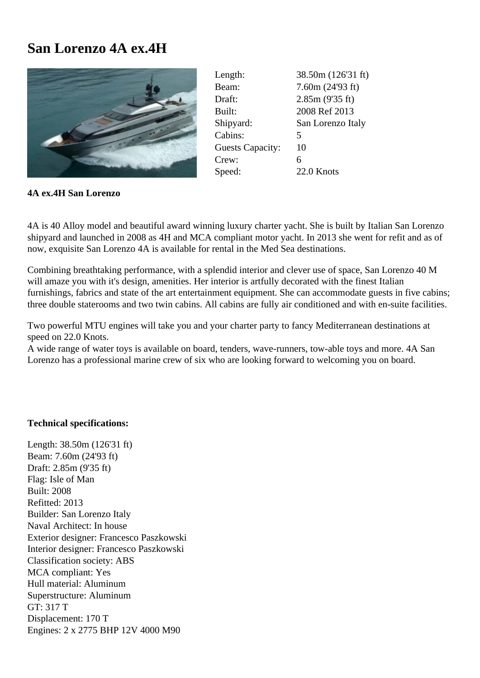## **San Lorenzo 4A ex.4H**



| Length:                 | 38.50m (126'31 ft) |
|-------------------------|--------------------|
| Beam:                   | 7.60m (24'93 ft)   |
| Draft:                  | 2.85m (9'35 ft)    |
| Built:                  | 2008 Ref 2013      |
| Shipyard:               | San Lorenzo Italy  |
| Cabins:                 | 5                  |
| <b>Guests Capacity:</b> | 10                 |
| Crew:                   | 6                  |
| Speed:                  | 22.0 Knots         |

**4A ex.4H San Lorenzo**

4A is 40 Alloy model and beautiful award winning luxury charter yacht. She is built by Italian San Lorenzo shipyard and launched in 2008 as 4H and MCA compliant motor yacht. In 2013 she went for refit and as of now, exquisite San Lorenzo 4A is available for rental in the Med Sea destinations.

Combining breathtaking performance, with a splendid interior and clever use of space, San Lorenzo 40 M will amaze you with it's design, amenities. Her interior is artfully decorated with the finest Italian furnishings, fabrics and state of the art entertainment equipment. She can accommodate guests in five cabins; three double staterooms and two twin cabins. All cabins are fully air conditioned and with en-suite facilities.

Two powerful MTU engines will take you and your charter party to fancy Mediterranean destinations at speed on 22.0 Knots.

A wide range of water toys is available on board, tenders, wave-runners, tow-able toys and more. 4A San Lorenzo has a professional marine crew of six who are looking forward to welcoming you on board.

## **Technical specifications:**

Length: 38.50m (126'31 ft) Beam: 7.60m (24'93 ft) Draft: 2.85m (9'35 ft) Flag: Isle of Man Built: 2008 Refitted: 2013 Builder: San Lorenzo Italy Naval Architect: In house Exterior designer: Francesco Paszkowski Interior designer: Francesco Paszkowski Classification society: ABS MCA compliant: Yes Hull material: Aluminum Superstructure: Aluminum GT: 317 T Displacement: 170 T Engines: 2 x 2775 BHP 12V 4000 M90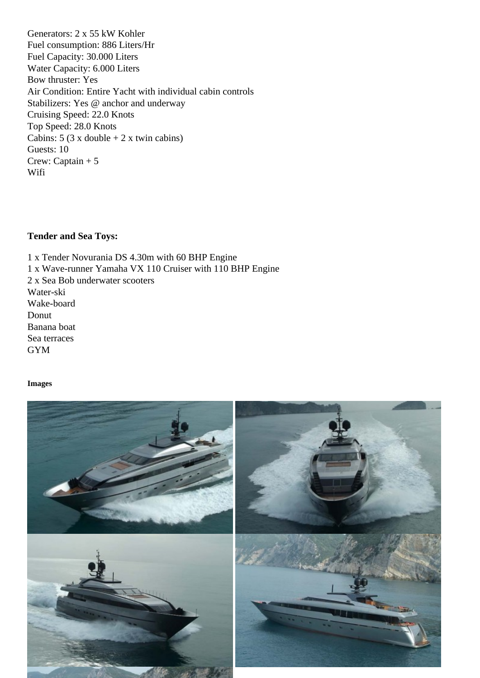Fuel consumption: 886 Liters/Hr Fuel Capacity: 30.000 Liters Water Capacity: 6.000 Liters Bow thruster: Yes Air Condition: Entire Yacht with individual cabin controls Stabilizers: Yes @ anchor and underway Cruising Speed: 22.0 Knots Top Speed: 28.0 Knots Cabins:  $5 (3 \times \text{double} + 2 \times \text{twin cabins})$ Guests: 10 Crew: Captain + 5 Wifi

Tender and Sea Toys:

1 x Tender Novurania DS 4.30m with 60 BHP Engine 1 x Wave-runner Yamaha VX 110 Cruiser with 110 BHP Engine 2 x Sea Bob underwater scooters Water-ski Wake-board Donut Banana boat Sea terraces GYM

Images